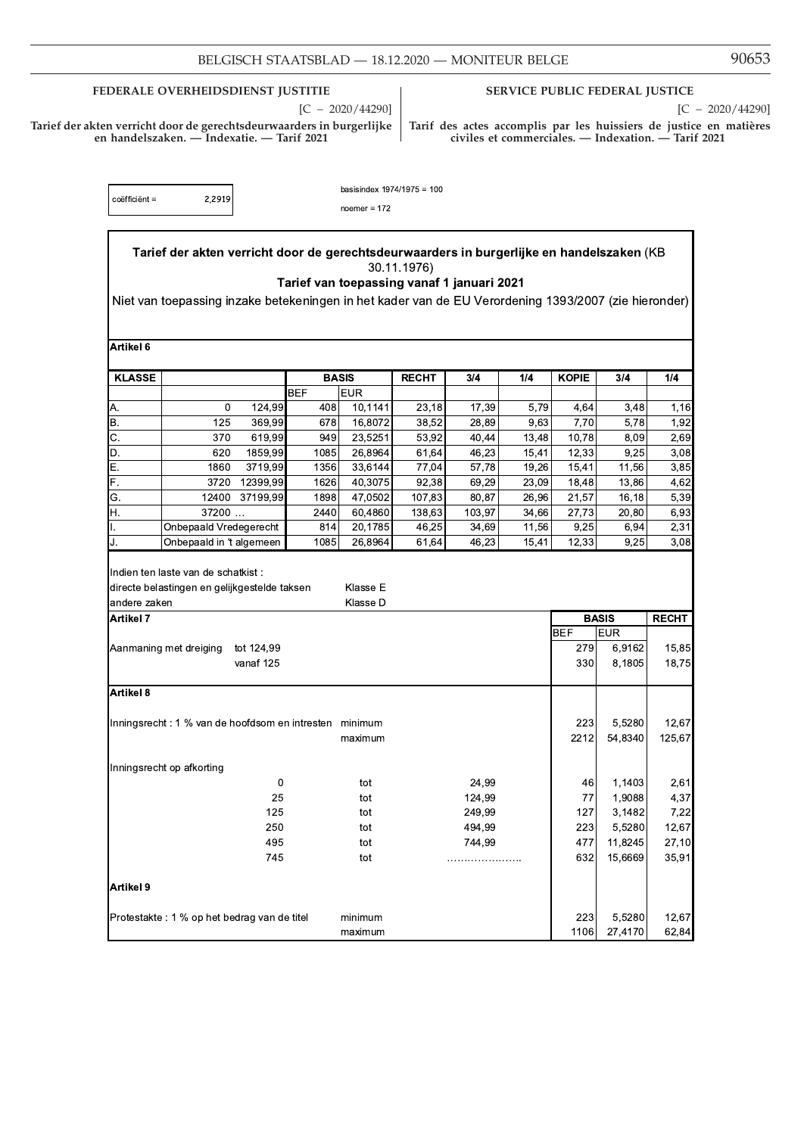| BELGISCH STAATSBLAD - | 18.12.2020 | <b>MONITEUR BELGE</b> |  |
|-----------------------|------------|-----------------------|--|
|                       |            |                       |  |

FEDERALE OVERHEIDSDIENST JUSTITIE

 $[C - 2020/44290]$ 

 $\label{thm:1}$  Tarief der akten verricht door de gerechtsdeurwaarders in burgerlijke en handelszaken. — Indexatie. — Tarif 2021

## SERVICE PUBLIC FEDERAL JUSTICE

 $[C - 2020/44290]$ 

Tarif des actes accomplis par les huissiers de justice en matières<br>civiles et commerciales. — Indexation. — Tarif 2021

| coëfficiënt = | 2,2919 |
|---------------|--------|
|               |        |

basisindex  $1974/1975 = 100$ 

noemer =  $172$ 

|               | Tarief der akten verricht door de gerechtsdeurwaarders in burgerlijke en handelszaken (KB            |                         |              |                    | 30.11.1976)                                |                |                |               |                   |                 |
|---------------|------------------------------------------------------------------------------------------------------|-------------------------|--------------|--------------------|--------------------------------------------|----------------|----------------|---------------|-------------------|-----------------|
|               | Niet van toepassing inzake betekeningen in het kader van de EU Verordening 1393/2007 (zie hieronder) |                         |              |                    | Tarief van toepassing vanaf 1 januari 2021 |                |                |               |                   |                 |
| Artikel 6     |                                                                                                      |                         |              |                    |                                            |                |                |               |                   |                 |
| <b>KLASSE</b> |                                                                                                      |                         | <b>BASIS</b> |                    | <b>RECHT</b>                               | 3/4            | 1/4            | <b>KOPIE</b>  | 3/4               | 1/4             |
|               |                                                                                                      |                         | <b>BEF</b>   | <b>EUR</b>         |                                            |                |                |               |                   |                 |
| Α.            | 0                                                                                                    | 124,99                  | 408          | 10,1141            | 23,18                                      | 17,39          | 5,79           | 4,64          | 3,48              | 1,16            |
| В.            | 125                                                                                                  | 369,99                  | 678          | 16,8072            | 38,52                                      | 28,89          | 9,63           | 7,70          | 5,78              | 1,92            |
| C.            | 370                                                                                                  | 619,99                  | 949          | 23,5251            | 53,92                                      | 40,44          | 13,48          | 10,78         | 8,09              | 2,69            |
| D.            | 620                                                                                                  | 1859,99                 | 1085         | 26,8964            | 61,64                                      | 46,23          | 15,41          | 12,33         | 9,25              | 3,08            |
| Е.            | 1860                                                                                                 | 3719,99                 | 1356         | 33,6144            | 77,04                                      | 57,78          | 19,26          | 15,41         | 11,56             | 3,85            |
| F.            | 3720                                                                                                 | 12399,99                | 1626         | 40,3075            | 92,38                                      | 69,29          | 23,09          | 18,48         | 13,86             | 4,62            |
| G.            | 12400                                                                                                | 37199,99                | 1898         | 47,0502            | 107,83                                     | 80,87          | 26,96          | 21,57         | 16,18             | 5,39            |
| Η.            | 37200                                                                                                |                         | 2440         | 60,4860            | 138,63                                     | 103,97         | 34,66          | 27,73         | 20,80             | 6,93            |
| J.            | Onbepaald Vredegerecht<br>Onbepaald in 't algemeen                                                   |                         | 814<br>1085  | 20,1785<br>26,8964 | 46,25<br>61,64                             | 34,69<br>46,23 | 11,56<br>15,41 | 9,25<br>12,33 | 6,94<br>9,25      | 2,31<br>3,08    |
| Artikel 7     |                                                                                                      |                         |              |                    |                                            |                |                |               | <b>BASIS</b>      | <b>RECHT</b>    |
|               |                                                                                                      |                         |              |                    |                                            |                |                | <b>BEF</b>    | <b>EUR</b>        |                 |
|               | Aanmaning met dreiging                                                                               | tot 124,99<br>vanaf 125 |              |                    |                                            |                |                | 279<br>330    | 6,9162<br>8,1805  | 15,85<br>18,75  |
| Artikel 8     |                                                                                                      |                         |              |                    |                                            |                |                |               |                   |                 |
|               | Inningsrecht : 1 % van de hoofdsom en intresten minimum                                              |                         |              | maximum            |                                            |                |                | 223<br>2212   | 5,5280<br>54,8340 | 12,67<br>125,67 |
|               | Inningsrecht op afkorting                                                                            |                         |              |                    |                                            |                |                |               |                   |                 |
|               |                                                                                                      | 0                       |              | tot                |                                            | 24,99          |                | 46            | 1,1403            | 2,61            |
|               |                                                                                                      | 25                      |              | tot                |                                            | 124,99         |                | 77            | 1,9088            | 4,37            |
|               |                                                                                                      | 125                     |              | tot                |                                            | 249,99         |                | 127           | 3,1482            | 7,22            |
|               |                                                                                                      | 250                     |              | tot                |                                            | 494,99         |                | 223           | 5,5280            | 12,67           |
|               |                                                                                                      | 495                     |              | tot                |                                            | 744,99         |                | 477           | 11,8245           | 27,10           |
|               |                                                                                                      | 745                     |              | tot                |                                            | .              |                | 632           | 15,6669           | 35,91           |
| Artikel 9     |                                                                                                      |                         |              |                    |                                            |                |                |               |                   |                 |
|               | Protestakte : 1 % op het bedrag van de titel                                                         |                         |              | minimum<br>maximum |                                            |                |                | 223<br>1106   | 5,5280<br>27,4170 | 12,67<br>62.84  |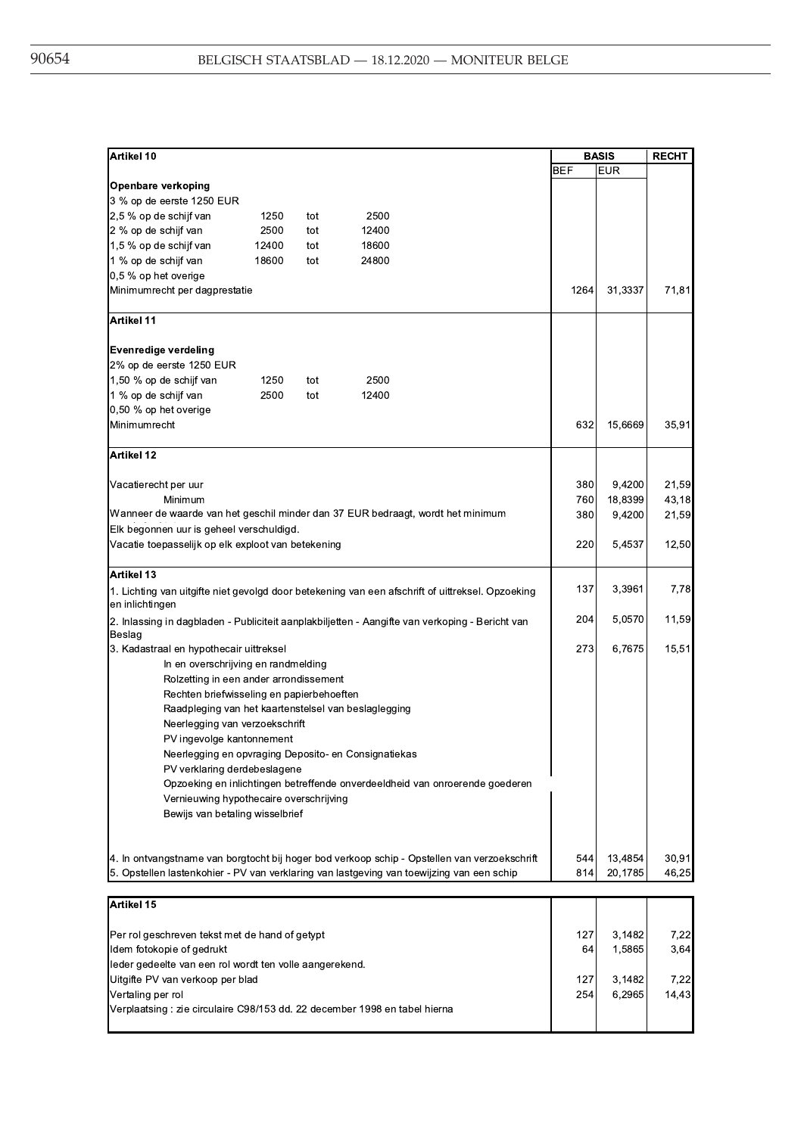| Artikel 10                                                                                                          |       |     |                                                      |                                                                                              |            | <b>BASIS</b>       | <b>RECHT</b>   |
|---------------------------------------------------------------------------------------------------------------------|-------|-----|------------------------------------------------------|----------------------------------------------------------------------------------------------|------------|--------------------|----------------|
|                                                                                                                     |       |     |                                                      |                                                                                              | <b>BEF</b> | <b>EUR</b>         |                |
| Openbare verkoping                                                                                                  |       |     |                                                      |                                                                                              |            |                    |                |
| 3 % op de eerste 1250 EUR                                                                                           |       |     |                                                      |                                                                                              |            |                    |                |
| 2,5 % op de schijf van                                                                                              | 1250  | tot | 2500                                                 |                                                                                              |            |                    |                |
| 2 % op de schijf van                                                                                                | 2500  | tot | 12400                                                |                                                                                              |            |                    |                |
| 1,5 % op de schijf van                                                                                              | 12400 | tot | 18600                                                |                                                                                              |            |                    |                |
| 1 % op de schijf van                                                                                                | 18600 | tot | 24800                                                |                                                                                              |            |                    |                |
| 0,5 % op het overige                                                                                                |       |     |                                                      |                                                                                              |            |                    |                |
| Minimumrecht per dagprestatie                                                                                       |       |     |                                                      |                                                                                              | 1264       | 31,3337            | 71,81          |
| Artikel 11                                                                                                          |       |     |                                                      |                                                                                              |            |                    |                |
| <b>Evenredige verdeling</b>                                                                                         |       |     |                                                      |                                                                                              |            |                    |                |
| 2% op de eerste 1250 EUR                                                                                            |       |     |                                                      |                                                                                              |            |                    |                |
| 1,50 % op de schijf van                                                                                             | 1250  | tot | 2500                                                 |                                                                                              |            |                    |                |
| 1 % op de schijf van                                                                                                | 2500  | tot | 12400                                                |                                                                                              |            |                    |                |
| 0,50 % op het overige                                                                                               |       |     |                                                      |                                                                                              |            |                    |                |
| Minimumrecht                                                                                                        |       |     |                                                      |                                                                                              | 632        | 15,6669            | 35,91          |
| Artikel 12                                                                                                          |       |     |                                                      |                                                                                              |            |                    |                |
| Vacatierecht per uur                                                                                                |       |     |                                                      |                                                                                              | 380        | 9,4200             | 21,59          |
| Minimum                                                                                                             |       |     |                                                      |                                                                                              | 760        | 18,8399            | 43,18          |
| Wanneer de waarde van het geschil minder dan 37 EUR bedraagt, wordt het minimum                                     |       |     |                                                      |                                                                                              | 380        | 9,4200             | 21,59          |
| Elk begonnen uur is geheel verschuldigd.                                                                            |       |     |                                                      |                                                                                              |            |                    |                |
| Vacatie toepasselijk op elk exploot van betekening                                                                  |       |     |                                                      |                                                                                              | 220        | 5,4537             | 12,50          |
| Artikel 13                                                                                                          |       |     |                                                      |                                                                                              |            |                    |                |
| 1. Lichting van uitgifte niet gevolgd door betekening van een afschrift of uittreksel. Opzoeking<br>en inlichtingen |       |     |                                                      |                                                                                              | 137        | 3,3961             | 7,78           |
| 2. Inlassing in dagbladen - Publiciteit aanplakbiljetten - Aangifte van verkoping - Bericht van<br>Beslag           |       |     |                                                      |                                                                                              | 204        | 5,0570             | 11,59          |
| 3. Kadastraal en hypothecair uittreksel                                                                             |       |     |                                                      |                                                                                              | 273        | 6,7675             | 15,51          |
| In en overschrijving en randmelding                                                                                 |       |     |                                                      |                                                                                              |            |                    |                |
| Rolzetting in een ander arrondissement                                                                              |       |     |                                                      |                                                                                              |            |                    |                |
| Rechten briefwisseling en papierbehoeften                                                                           |       |     |                                                      |                                                                                              |            |                    |                |
|                                                                                                                     |       |     | Raadpleging van het kaartenstelsel van beslaglegging |                                                                                              |            |                    |                |
| Neerlegging van verzoekschrift                                                                                      |       |     |                                                      |                                                                                              |            |                    |                |
| PV ingevolge kantonnement                                                                                           |       |     |                                                      |                                                                                              |            |                    |                |
|                                                                                                                     |       |     | Neerlegging en opvraging Deposito- en Consignatiekas |                                                                                              |            |                    |                |
| PV verklaring derdebeslagene                                                                                        |       |     |                                                      |                                                                                              |            |                    |                |
|                                                                                                                     |       |     |                                                      | Opzoeking en inlichtingen betreffende onverdeeldheid van onroerende goederen                 |            |                    |                |
| Vernieuwing hypothecaire overschrijving                                                                             |       |     |                                                      |                                                                                              |            |                    |                |
| Bewijs van betaling wisselbrief                                                                                     |       |     |                                                      |                                                                                              |            |                    |                |
|                                                                                                                     |       |     |                                                      |                                                                                              |            |                    |                |
| 5. Opstellen lastenkohier - PV van verklaring van lastgeving van toewijzing van een schip                           |       |     |                                                      | 4. In ontvangstname van borgtocht bij hoger bod verkoop schip - Opstellen van verzoekschrift | 544<br>814 | 13,4854<br>20,1785 | 30,91<br>46,25 |
| Artikel 15                                                                                                          |       |     |                                                      |                                                                                              |            |                    |                |
|                                                                                                                     |       |     |                                                      |                                                                                              |            |                    |                |
| Per rol geschreven tekst met de hand of getypt                                                                      |       |     |                                                      |                                                                                              | 127        | 3,1482             | 7,22           |
| Idem fotokopie of gedrukt                                                                                           |       |     |                                                      |                                                                                              | 64         | 1,5865             | 3,64           |
| leder gedeelte van een rol wordt ten volle aangerekend.                                                             |       |     |                                                      |                                                                                              |            |                    |                |
| Uitgifte PV van verkoop per blad                                                                                    |       |     |                                                      |                                                                                              | 127        | 3,1482             | 7,22           |
| Vertaling per rol                                                                                                   |       |     |                                                      |                                                                                              | 254        | 6,2965             | 14,43          |
| Verplaatsing: zie circulaire C98/153 dd. 22 december 1998 en tabel hierna                                           |       |     |                                                      |                                                                                              |            |                    |                |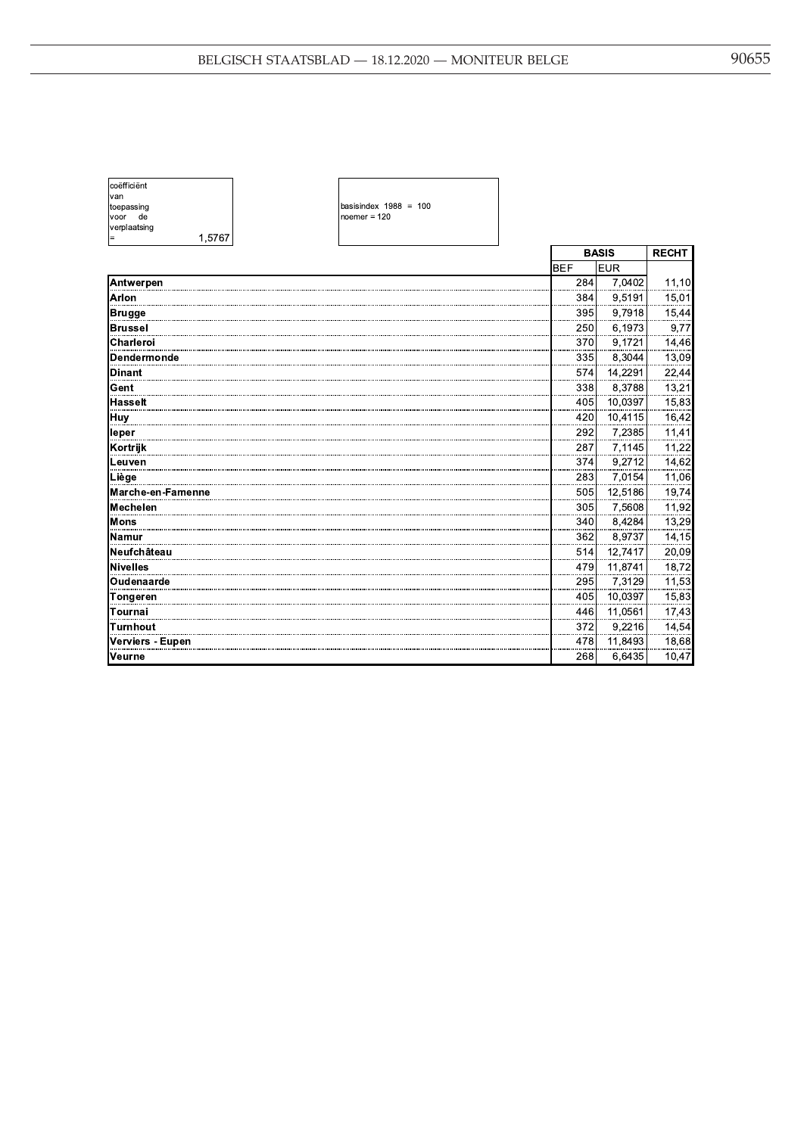| coëfficiënt  |        |
|--------------|--------|
| van          |        |
| toepassing   |        |
| voor<br>de   |        |
| verplaatsing |        |
|              | 1.5767 |

basisindex 1988 = 100<br>noemer = 120

| 1,5767<br>$=$     |            |              |              |
|-------------------|------------|--------------|--------------|
|                   |            | <b>BASIS</b> | <b>RECHT</b> |
|                   | <b>BEF</b> | <b>EUR</b>   |              |
| Antwerpen         | 284        | 7,0402       | 11,10        |
| Arlon             | 384        | 9,5191       | 15,01        |
| Brugge            | 395        | 9,7918       | 15,44        |
| <b>Brussel</b>    | 250        | 6,1973       | 9,77         |
| Charleroi         | 370        | 9,1721       | 14,46        |
| Dendermonde       | 335        | 8,3044       | 13,09        |
| <b>Dinant</b>     | 574        | 14,2291      | 22,44        |
| Gent              | 338        | 8,3788       | 13,21        |
| <b>Hasselt</b>    | 405        | 10,0397      | 15,83        |
| Huy               | 420        | 10,4115      | 16,42        |
| leper             | 292        | 7,2385       | 11,41        |
| Kortrijk          | 287        | 7,1145       | 11,22        |
| Leuven            | 374        | 9,2712       | 14,62        |
| Liège             | 283        | 7,0154       | 11,06        |
| Marche-en-Famenne | 505        | 12,5186      | 19,74        |
| Mechelen          | 305        | 7,5608       | 11,92        |
| Mons              | 340        | 8,4284       | 13,29        |
| Namur             | 362        | 8,9737       | 14,15        |
| Neufchâteau       | 514        | 12,7417      | 20,09        |
| Nivelles          | 479        | 11,8741      | 18,72        |
| Oudenaarde        | 295        | 7,3129       | 11,53        |
| <b>Tongeren</b>   | 405        | 10,0397      | 15,83        |
| Tournai           | 446        | 11,0561      | 17,43        |
| <b>Turnhout</b>   | 372        | 9,2216       | 14,54        |
| Verviers - Eupen  | 478        | 11,8493      | 18,68        |
| Veurne            | 268        | 6,6435       | 10,47        |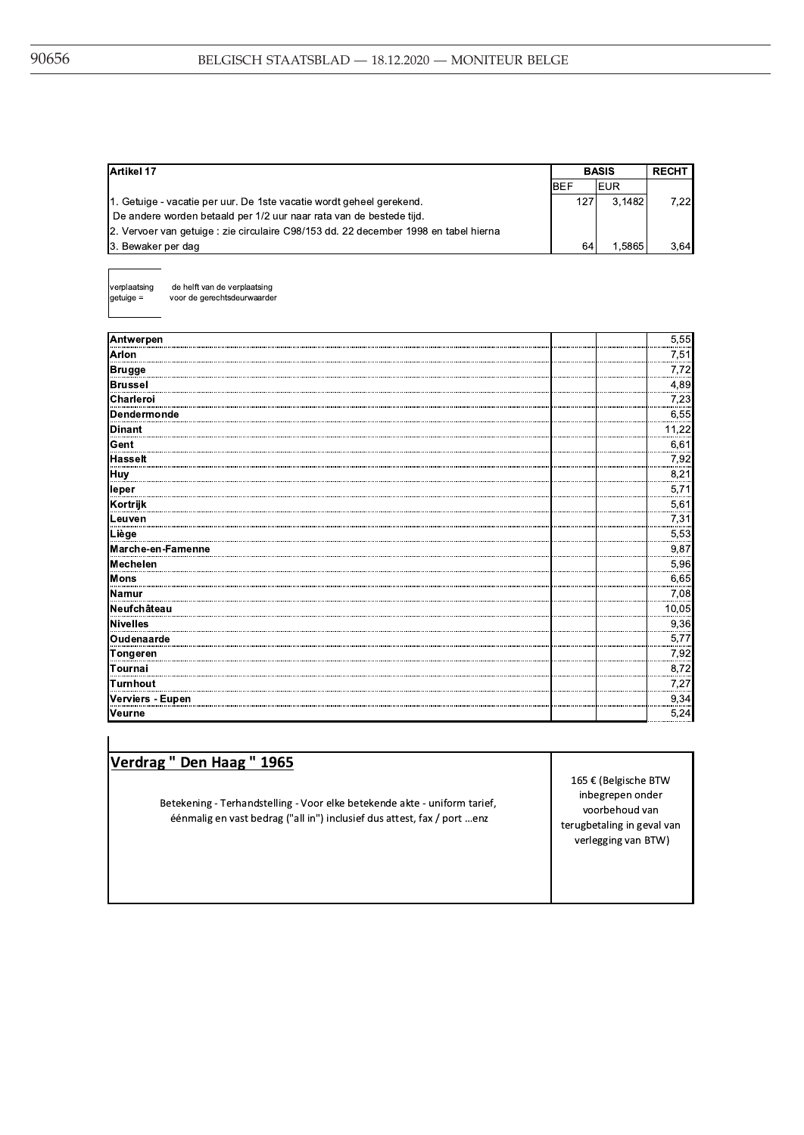| Artikel 17                                                                           |            | <b>BASIS</b> |      |
|--------------------------------------------------------------------------------------|------------|--------------|------|
|                                                                                      | <b>BEF</b> | IEUR         |      |
| 1. Getuige - vacatie per uur. De 1ste vacatie wordt geheel gerekend.                 | 127        | 3.1482       | 7.22 |
| De andere worden betaald per 1/2 uur naar rata van de bestede tijd.                  |            |              |      |
| 2. Vervoer van getuige : zie circulaire C98/153 dd. 22 december 1998 en tabel hierna |            |              |      |
| 3. Bewaker per dag                                                                   | 64         | 1.5865       | 364  |

verplaatsing  $getuige =$ 

de helft van de verplaatsing voor de gerechtsdeurwaarder

| Antwerpen         | 5,55  |
|-------------------|-------|
| <b>Arlon</b>      | 7,51  |
| <b>Brugge</b>     | 7,72  |
| <b>Brussel</b>    | 4,89  |
| Charleroi         | 7,23  |
| Dendermonde       | 6,55  |
| <b>Dinant</b>     | 11,22 |
| Gent              | 6,61  |
| <b>Hasselt</b>    | 7,92  |
| Huy               | 8,21  |
| leper             | 5,71  |
| Kortrijk          | 5,61  |
| Leuven            | 7,31  |
| Liège             | 5,53  |
| Marche-en-Famenne | 9,87  |
| Mechelen          | 5,96  |
| Mons              | 6,65  |
| Namur             | 7,08  |
| Neufchâteau       | 10,05 |
| Nivelles          | 9,36  |
| Oudenaarde        | 5,77  |
| Tongeren          | 7,92  |
| Tournai           | 8,72  |
| <b>Turnhout</b>   | 7,27  |
| Verviers - Eupen  | 9,34  |
| Veurne            | 5,24  |

| Verdrag " Den Haag " 1965 |  |  |
|---------------------------|--|--|
|---------------------------|--|--|

Betekening - Terhandstelling - Voor elke betekende akte - uniform tarief, éénmalig en vast bedrag ("all in") inclusief dus attest, fax / port ...enz

165 € (Belgische BTW inbegrepen onder voorbehoud van terugbetaling in geval van verlegging van BTW)